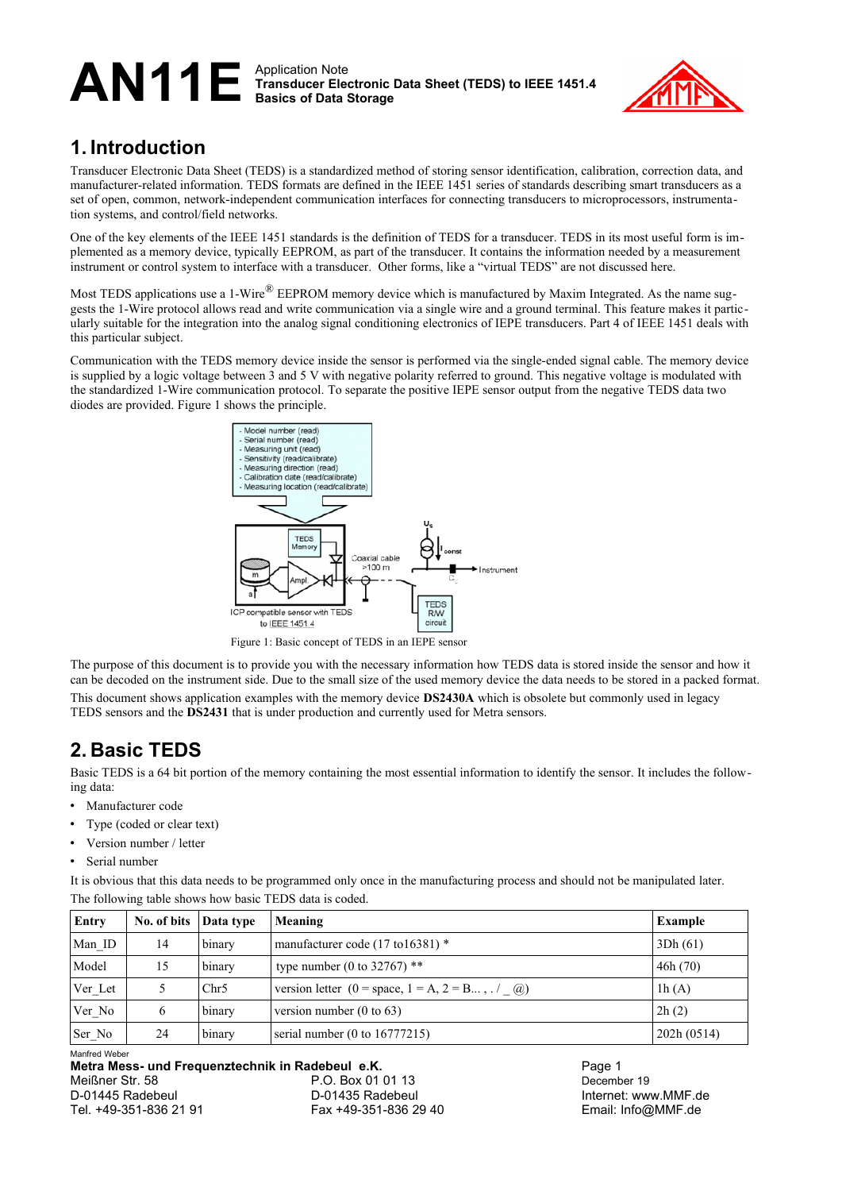

# **1. Introduction**

Transducer Electronic Data Sheet (TEDS) is a standardized method of storing sensor identification, calibration, correction data, and manufacturer-related information. TEDS formats are defined in the IEEE 1451 series of standards describing smart transducers as a set of open, common, network-independent communication interfaces for connecting transducers to microprocessors, instrumentation systems, and control/field networks.

One of the key elements of the IEEE 1451 standards is the definition of TEDS for a transducer. TEDS in its most useful form is implemented as a memory device, typically EEPROM, as part of the transducer. It contains the information needed by a measurement instrument or control system to interface with a transducer. Other forms, like a "virtual TEDS" are not discussed here.

Most TEDS applications use a 1-Wire<sup>®</sup> EEPROM memory device which is manufactured by Maxim Integrated. As the name suggests the 1-Wire protocol allows read and write communication via a single wire and a ground terminal. This feature makes it particularly suitable for the integration into the analog signal conditioning electronics of IEPE transducers. Part 4 of IEEE 1451 deals with this particular subject.

Communication with the TEDS memory device inside the sensor is performed via the single-ended signal cable. The memory device is supplied by a logic voltage between 3 and 5 V with negative polarity referred to ground. This negative voltage is modulated with the standardized 1-Wire communication protocol. To separate the positive IEPE sensor output from the negative TEDS data two diodes are provided. [Figure 1](#page-0-0) shows the principle.



<span id="page-0-0"></span>Figure 1: Basic concept of TEDS in an IEPE sensor

The purpose of this document is to provide you with the necessary information how TEDS data is stored inside the sensor and how it can be decoded on the instrument side. Due to the small size of the used memory device the data needs to be stored in a packed format. This document shows application examples with the memory device **DS2430A** which is obsolete but commonly used in legacy TEDS sensors and the **DS2431** that is under production and currently used for Metra sensors.

# <span id="page-0-1"></span>**2. Basic TEDS**

Basic TEDS is a 64 bit portion of the memory containing the most essential information to identify the sensor. It includes the following data:

- Manufacturer code
- Type (coded or clear text)
- Version number / letter
- Serial number

It is obvious that this data needs to be programmed only once in the manufacturing process and should not be manipulated later. The following table shows how basic TEDS data is coded.

| Entry   | No. of bits | Data type | Meaning                                         | <b>Example</b> |
|---------|-------------|-----------|-------------------------------------------------|----------------|
| Man ID  | 14          | binary    | manufacturer code $(17 \text{ to } 16381)$ *    | 3Dh(61)        |
| Model   | 15          | binary    | type number (0 to 32767) **                     | 46h(70)        |
| Ver Let |             | Chr5      | version letter (0 = space, 1 = A, 2 = B, . / @) | 1h(A)          |
| Ver No  | 6           | binary    | version number $(0 \text{ to } 63)$             | 2h(2)          |
| Ser_No  | 24          | binary    | serial number $(0 \text{ to } 16777215)$        | 202h(0514)     |

Manfred Weber

**Metra Mess- und Frequenztechnik in Radebeul e.K.** Page 1 Meißner Str. 58 P.O. Box 01 01 13 December 19 D-01445 Radebeul D-01435 Radebeul Internet: www.MMF.de Tel. +49-351-836 21 91 Fax +49-351-836 29 40 Email: Info@MMF.de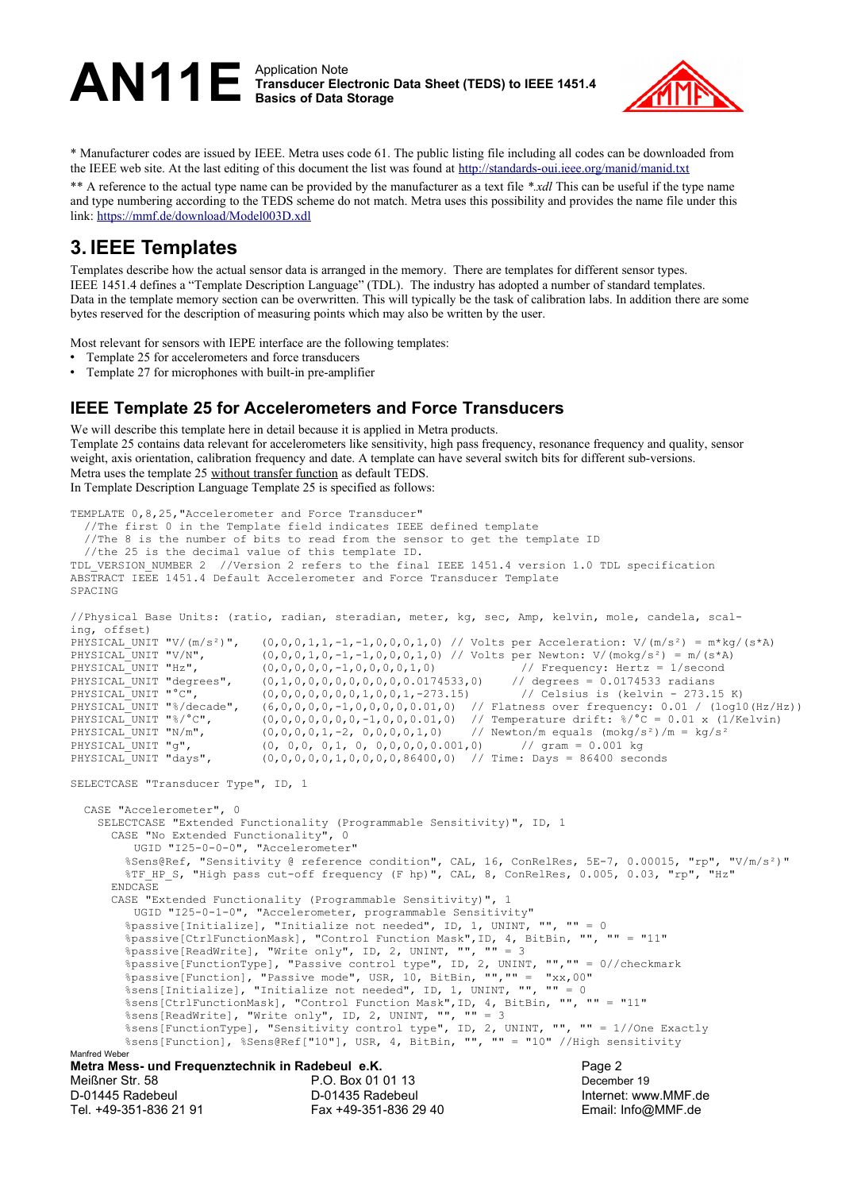

\* Manufacturer codes are issued by IEEE. Metra uses code 61. The public listing file including all codes can be downloaded from the IEEE web site. At the last editing of this document the list was found at <http://standards-oui.ieee.org/manid/manid.txt>

\*\* A reference to the actual type name can be provided by the manufacturer as a text file *\*.xdl* This can be useful if the type name and type numbering according to the TEDS scheme do not match. Metra uses this possibility and provides the name file under this link:<https://mmf.de/download/Model003D.xdl>

### <span id="page-1-0"></span>**3. IEEE Templates**

Templates describe how the actual sensor data is arranged in the memory. There are templates for different sensor types. IEEE 1451.4 defines a "Template Description Language" (TDL). The industry has adopted a number of standard templates. Data in the template memory section can be overwritten. This will typically be the task of calibration labs. In addition there are some bytes reserved for the description of measuring points which may also be written by the user.

Most relevant for sensors with IEPE interface are the following templates:

- Template 25 for accelerometers and force transducers
- Template 27 for microphones with built-in pre-amplifier

#### **IEEE Template 25 for Accelerometers and Force Transducers**

We will describe this template here in detail because it is applied in Metra products. Template 25 contains data relevant for accelerometers like sensitivity, high pass frequency, resonance frequency and quality, sensor weight, axis orientation, calibration frequency and date. A template can have several switch bits for different sub-versions. Metra uses the template 25 without transfer function as default TEDS. In Template Description Language Template 25 is specified as follows:

```
TEMPLATE 0,8,25,"Accelerometer and Force Transducer" 
   //The first 0 in the Template field indicates IEEE defined template
   //The 8 is the number of bits to read from the sensor to get the template ID
   //the 25 is the decimal value of this template ID.
TDL VERSION NUMBER 2 //Version 2 refers to the final IEEE 1451.4 version 1.0 TDL specification
ABSTRACT IEEE 1451.4 Default Accelerometer and Force Transducer Template
SPACING
//Physical Base Units: (ratio, radian, steradian, meter, kg, sec, Amp, kelvin, mole, candela, scal-
ing, offset)<br>PHYSICAL UNIT "V/(m/s<sup>2</sup>)",
PHYSICAL_UNIT "V/(m/s<sup>2</sup>)", (0,0,0,1,1,-1,-1,0,0,0,1,0) // Volts per Acceleration: V/(m/s<sup>2</sup>) = m*kg/(s*A)<br>PHYSICAL<sup>_</sup>UNIT "V/N", (0,0,0,1,0,-1,-1,0,0,0,1,0) // Volts per Newton: V/(mokg/s<sup>2</sup>) = m/(s*A)
PHYSICAL_UNIT "V/N", (0,0,0,1,0,-1,-1,0,0,0,1,0) // Volts per Newton: V/(mokg/s<sup>2</sup>) = m/(s*A)<br>PHYSICAL_UNIT "Hz", (0,0,0,0,0,0,-1,0,0,0,0,1,0) // Frequency: Hertz = 1/second
PHYSICAL UNIT "Hz", (0,0,0,0,0,-1,0,0,0,0,1,0) // Frequency: Hertz = 1/second<br>PHYSICAL UNIT "degrees", (0,1,0,0,0,0,0,0,0,0,0,0.0174533,0) // degrees = 0.0174533 radians
PHYSICAL<sup>T</sup>UNIT "degrees", (0,1,0,0,0,0,0,0,0,0,0,0174533,0) // degrees = 0.0174533 radians<br>PHYSICALTUNIT "°C", (0,0,0,0,0,0,0,0,0,1,0,0,1,-273.15) // Celsius is (kelvin - 273.15 K)
PHYSICAL UNIT "°C", (0,0,0,0,0,0,0,1,0,0,1,-273.15) // Celsius is (kelvin - 273.15 K)
PHYSICAL UNIT "%/decade", (6,0,0,0,0,-1,0,0,0,0,0,0.01,0) // Flatness over frequency: 0.01 / (log10(Hz/Hz))
PHYSICAL UNIT "%/°C", (0,0,0,0,0,0,0,-1,0,0,0.01,0) // Temperature drift: %/°C = 0.01 x (1/Kelvin)
PHYSICAL_UNIT "N/m", (0,0,0,0,1,-2,0,0,0,0,1,0) // Newton/m equals (\text{mokg/s}^2)/\text{m} = \text{kg/s}^2PHYSICAL<sup>T</sup>UNIT "g", (0, 0, 0, 0, 1, 0, 0, 0, 0, 0, 0, 0, 0, 0, 0, 0) // gram = 0.001 kg<br>PHYSICALTUNIT "days", (0, 0, 0, 0, 0, 1, 0, 0, 0, 0, 86400, 0) // Time: Days = 86400 secc
                              (0,0,0,0,0,1,0,0,0,0,86400,0) // Time: Days = 86400 seconds
SELECTCASE "Transducer Type", ID, 1
   CASE "Accelerometer", 0
     SELECTCASE "Extended Functionality (Programmable Sensitivity)", ID, 1
       CASE "No Extended Functionality", 0
           UGID "I25-0-0-0", "Accelerometer"
         %Sens@Ref, "Sensitivity @ reference condition", CAL, 16, ConRelRes, 5E-7, 0.00015, "rp", "V/m/s²)"
        %TF HP S, "High pass cut-off frequency (F hp)", CAL, 8, ConRelRes, 0.005, 0.03, "rp", "Hz"
       ENDCASE
       CASE "Extended Functionality (Programmable Sensitivity)", 1
           UGID "I25-0-1-0", "Accelerometer, programmable Sensitivity"
         %passive[Initialize], "Initialize not needed", ID, 1, UNINT, "", "" = 0
 %passive[CtrlFunctionMask], "Control Function Mask",ID, 4, BitBin, "", "" = "11"
 %passive[ReadWrite], "Write only", ID, 2, UNINT, "", "" = 3
         %passive[FunctionType], "Passive control type", ID, 2, UNINT, "","" = 0//checkmark
 %passive[Function], "Passive mode", USR, 10, BitBin, "","" = "xx,00"
 %sens[Initialize], "Initialize not needed", ID, 1, UNINT, "", "" = 0
 %sens[CtrlFunctionMask], "Control Function Mask",ID, 4, BitBin, "", "" = "11"
 %sens[ReadWrite], "Write only", ID, 2, UNINT, "", "" = 3
 %sens[FunctionType], "Sensitivity control type", ID, 2, UNINT, "", "" = 1//One Exactly
 %sens[Function], %Sens@Ref["10"], USR, 4, BitBin, "", "" = "10" //High sensitivity
Manfred Weber
Metra Mess- und Frequenztechnik in Radebeul e.K. Page 2
Meißner Str. 58 P.O. Box 01 01 13 December 19
D-01445 Radebeul D-01435 Radebeul Internet: www.MMF.de
Tel. +49-351-836 21 91 Fax +49-351-836 29 40 Email: Info@MMF.de
```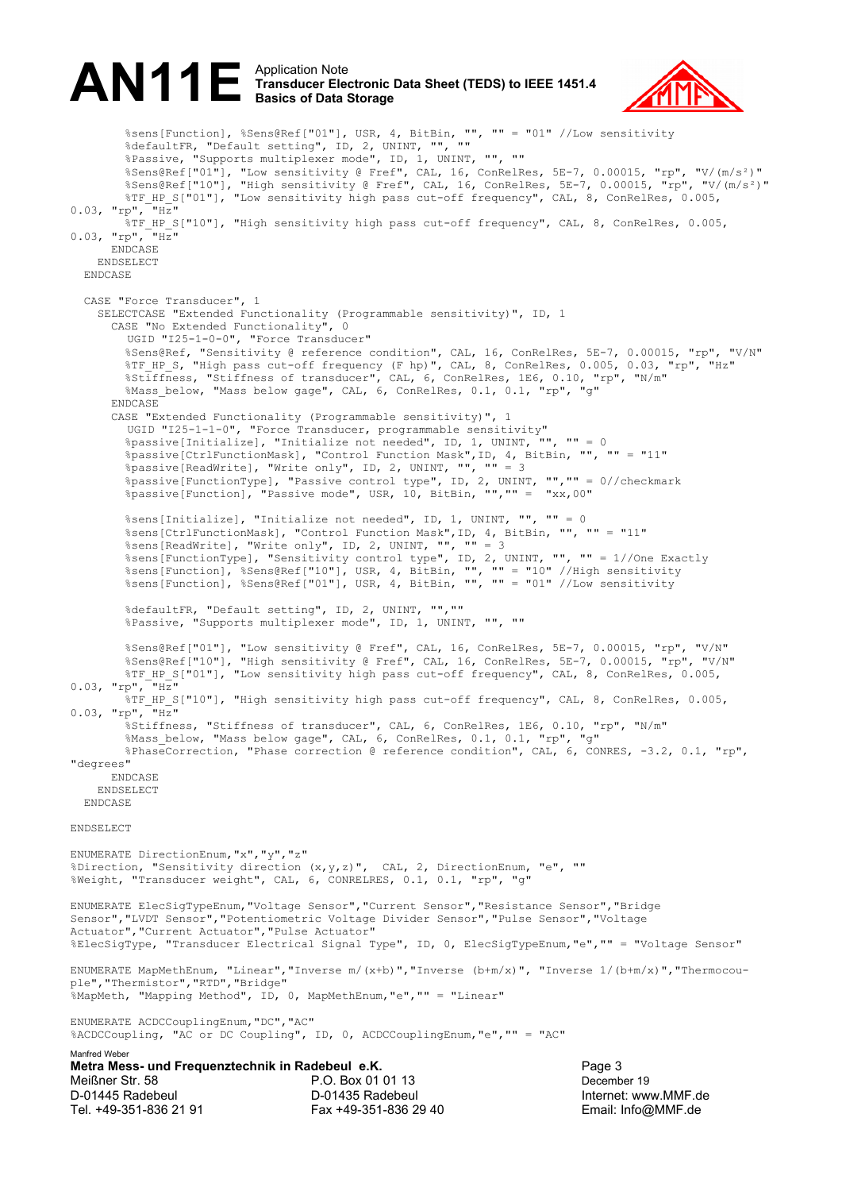

%sens[Function], %Sens@Ref["01"], USR, 4, BitBin, "", "" = "01" //Low sensitivity %defaultFR, "Default setting", ID, 2, UNINT, "", "" %Passive, "Supports multiplexer mode", ID, 1, UNINT, "", "" %Sens@Ref["01"], "Low sensitivity @ Fref", CAL, 16, ConRelRes, 5E-7, 0.00015, "rp", "V/(m/s²)" %Sens@Ref["10"], "High sensitivity @ Fref", CAL, 16, ConRelRes, 5E-7, 0.00015, "rp", "V/(m/s²)" %TF\_HP\_S["01"], "Low sensitivity high pass cut-off frequency", CAL, 8, ConRelRes, 0.005,  $0.03$ , "rp", " $Hz$ " %TF\_HP\_S["10"], "High sensitivity high pass cut-off frequency", CAL, 8, ConRelRes, 0.005,  $0.03$ , "rp", "Hz" ENDCASE ENDSELECT ENDCASE CASE "Force Transducer", 1 SELECTCASE "Extended Functionality (Programmable sensitivity)", ID, 1 CASE "No Extended Functionality", 0 UGID "I25-1-0-0", "Force Transducer" %Sens@Ref, "Sensitivity @ reference condition", CAL, 16, ConRelRes, 5E-7, 0.00015, "rp", "V/N"  $\$$ TF HP S, "High pass cut-off frequency (F hp)", CAL,  $8$ , ConRelRes, 0.005, 0.03, "rp", "Hz" %Stiffness, "Stiffness of transducer", CAL, 6, ConRelRes, 1E6, 0.10, "rp", "N/m" %Mass\_below, "Mass below gage", CAL, 6, ConRelRes, 0.1, 0.1, "rp", "g" ENDCASE CASE "Extended Functionality (Programmable sensitivity)", 1 UGID "I25-1-1-0", "Force Transducer, programmable sensitivity" %passive[Initialize], "Initialize not needed", ID, 1, UNINT, "", "" = 0 %passive[CtrlFunctionMask], "Control Function Mask",ID, 4, BitBin, "", "" = "11" %passive[ReadWrite], "Write only", ID, 2, UNINT, "", "" = 3 %passive[FunctionType], "Passive control type", ID, 2, UNINT, "", "" = 0//checkmark<br>%passive[Function], "Passive mode", USR, 10, BitBin, "", "" = "xx,00" %passive[Function], "Passive mode", USR, 10, BitBin, "", "" = %sens[Initialize], "Initialize not needed", ID, 1, UNINT, "", "" = 0 %sens[CtrlFunctionMask], "Control Function Mask",ID, 4, BitBin, "", "" = "11" %sens[corrrandocratatii, contract of the conduction of the sense ReadWrite], "Write only", ID, 2, UNINT, "", "" = 3 %sens[FunctionType], "Sensitivity control type", ID, 2, UNINT, "", "" = 1//One Exactly %sens[Function], %Sens@Ref["10"], USR, 4, BitBin, "", "" = "10" //High sensitivity %sens[Function], %Sens@Ref["01"], USR, 4, BitBin, "", "" = "01" //Low sensitivity %defaultFR, "Default setting", ID, 2, UNINT, "","" %Passive, "Supports multiplexer mode", ID, 1, UNINT, "", "" %Sens@Ref["01"], "Low sensitivity @ Fref", CAL, 16, ConRelRes, 5E-7, 0.00015, "rp", "V/N" %Sens@Ref["10"], "High sensitivity @ Fref", CAL, 16, ConRelRes, 5E-7, 0.00015, "rp", "V/N" %TF\_HP\_S["01"], "Low sensitivity high pass cut-off frequency", CAL, 8, ConRelRes, 0.005,  $0.03$ , "rp", " $H\overline{z}$ " %TF\_HP\_S["10"], "High sensitivity high pass cut-off frequency", CAL, 8, ConRelRes, 0.005,<br>rn", "Hz"  $0.03, "rp",$  %Stiffness, "Stiffness of transducer", CAL, 6, ConRelRes, 1E6, 0.10, "rp", "N/m" %Mass below, "Mass below gage", CAL, 6, ConRelRes, 0.1, 0.1, "rp", "g" %PhaseCorrection, "Phase correction @ reference condition", CAL, 6, CONRES, -3.2, 0.1, "rp", "degrees" ENDCASE ENDSELECT ENDCASE ENDSELECT ENUMERATE DirectionEnum,"x","y","z" %Direction, "Sensitivity direction (x,y,z)", CAL, 2, DirectionEnum, "e", "" %Weight, "Transducer weight", CAL, 6, CONRELRES, 0.1, 0.1, "rp", "g" ENUMERATE ElecSigTypeEnum,"Voltage Sensor","Current Sensor","Resistance Sensor","Bridge Sensor","LVDT Sensor","Potentiometric Voltage Divider Sensor","Pulse Sensor","Voltage Actuator","Current Actuator","Pulse Actuator" %ElecSigType, "Transducer Electrical Signal Type", ID, 0, ElecSigTypeEnum,"e","" = "Voltage Sensor" ENUMERATE MapMethEnum, "Linear","Inverse m/(x+b)","Inverse (b+m/x)", "Inverse 1/(b+m/x)","Thermocouple","Thermistor","RTD","Bridge" %MapMeth, "Mapping Method", ID, 0, MapMethEnum,"e","" = "Linear" ENUMERATE ACDCCouplingEnum,"DC","AC" %ACDCCoupling, "AC or DC Coupling", ID, 0, ACDCCouplingEnum,"e","" = "AC" Manfred Weber **Metra Mess- und Frequenztechnik in Radebeul e.K.** Page 3 Meißner Str. 58 P.O. Box 01 01 13 December 19 D-01445 Radebeul D-01435 Radebeul Internet: www.MMF.de

Tel. +49-351-836 21 91 Fax +49-351-836 29 40 Email: Info@MMF.de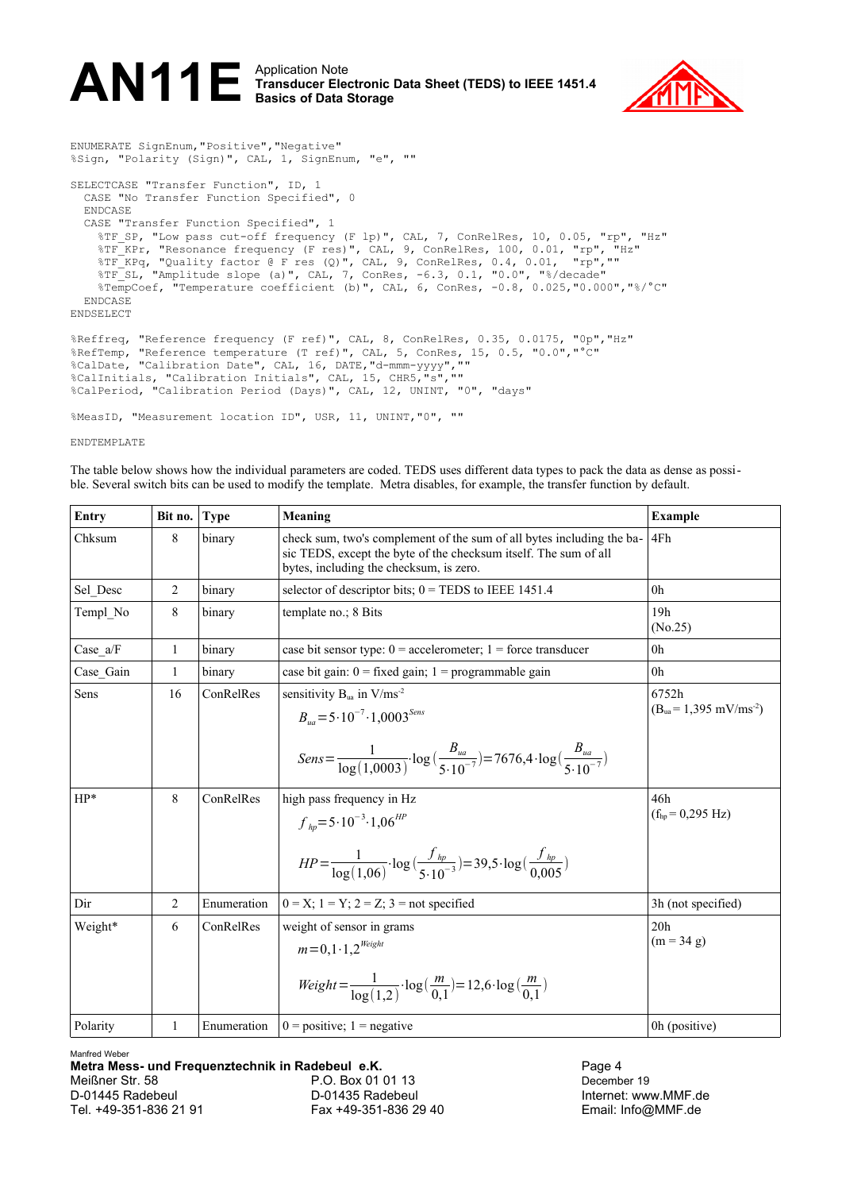

ENUMERATE SignEnum,"Positive","Negative" %Sign, "Polarity (Sign)", CAL, 1, SignEnum, "e", "" SELECTCASE "Transfer Function", ID, 1 CASE "No Transfer Function Specified", 0 ENDCASE CASE "Transfer Function Specified", 1 %TF SP, "Low pass cut-off frequency (F lp)", CAL, 7, ConRelRes, 10, 0.05, "rp", "Hz" %TF\_KPr, "Resonance frequency (F res)", CAL, 9, ConRelRes, 100, 0.01, "rp", "Hz" %TF KPq, "Quality factor @ F res (Q)", CAL, 9, ConRelRes, 0.4, 0.01, "rp","" %TF SL, "Amplitude slope (a)", CAL, 7, ConRes, -6.3, 0.1, "0.0", "%/decade" %TempCoef, "Temperature coefficient (b)", CAL, 6, ConRes, -0.8, 0.025,"0.000","%/°C" ENDCASE ENDSELECT %Reffreq, "Reference frequency (F ref)", CAL, 8, ConRelRes, 0.35, 0.0175, "0p","Hz" %RefTemp, "Reference temperature (T ref)", CAL, 5, ConRes, 15, 0.5, "0.0","°C" %CalDate, "Calibration Date", CAL, 16, DATE,"d-mmm-yyyy","" %CalInitials, "Calibration Initials", CAL, 15, CHR5,"s","" %CalPeriod, "Calibration Period (Days)", CAL, 12, UNINT, "0", "days" %MeasID, "Measurement location ID", USR, 11, UNINT,"0", ""

ENDTEMPLATE

The table below shows how the individual parameters are coded. TEDS uses different data types to pack the data as dense as possible. Several switch bits can be used to modify the template. Metra disables, for example, the transfer function by default.

| Entry         | Bit no.      | <b>Type</b>            | Meaning                                                                                                                                                                                                                                                                                                               | <b>Example</b>                                                                |  |  |  |  |
|---------------|--------------|------------------------|-----------------------------------------------------------------------------------------------------------------------------------------------------------------------------------------------------------------------------------------------------------------------------------------------------------------------|-------------------------------------------------------------------------------|--|--|--|--|
| Chksum        | 8            | binary                 | check sum, two's complement of the sum of all bytes including the ba-<br>sic TEDS, except the byte of the checksum itself. The sum of all<br>bytes, including the checksum, is zero.                                                                                                                                  | 4Fh                                                                           |  |  |  |  |
| Sel Desc      | 2            | binary                 | selector of descriptor bits; $0 = TEDS$ to IEEE 1451.4                                                                                                                                                                                                                                                                | 0 <sub>h</sub>                                                                |  |  |  |  |
| Templ No      | 8            | binary                 | template no.; 8 Bits                                                                                                                                                                                                                                                                                                  | 19h<br>(No.25)                                                                |  |  |  |  |
| $Case_4/F$    | 1            | binary                 | case bit sensor type: $0 =$ accelerometer; $1 =$ force transducer                                                                                                                                                                                                                                                     | 0 <sup>h</sup>                                                                |  |  |  |  |
| Case Gain     | $\mathbf{1}$ | binary                 | case bit gain: $0 = fixed$ gain; $1 = programmable$ gain                                                                                                                                                                                                                                                              | 0h                                                                            |  |  |  |  |
| Sens<br>$HP*$ | 16<br>8      | ConRelRes<br>ConRelRes | sensitivity $B_{ua}$ in $V/ms^{-2}$<br>$B_{\nu a} = 5 \cdot 10^{-7} \cdot 1,0003^{Sens}$<br>$Sens = \frac{1}{\log(1,0003)} \cdot \log\left(\frac{B_{ua}}{5 \cdot 10^{-7}}\right) = 7676.4 \cdot \log\left(\frac{B_{ua}}{5 \cdot 10^{-7}}\right)$<br>high pass frequency in Hz<br>$f_{hn} = 5.10^{-3} \cdot 1,06^{HP}$ | 6752h<br>$(Bua=1,395 mV/ms-2)$<br>46h<br>$(f_{\text{hn}} = 0.295 \text{ Hz})$ |  |  |  |  |
| Dir           | 2            | Enumeration            | $HP = \frac{1}{\log(1.06)} \cdot \log\left(\frac{f_{hp}}{5.10^{-3}}\right) = 39.5 \cdot \log\left(\frac{f_{hp}}{0.005}\right)$<br>$0 = X$ ; $1 = Y$ ; $2 = Z$ ; $3 = not specified$                                                                                                                                   | 3h (not specified)                                                            |  |  |  |  |
| Weight*       | 6            | ConRelRes              | weight of sensor in grams                                                                                                                                                                                                                                                                                             | 20 <sub>h</sub>                                                               |  |  |  |  |
|               |              |                        | $m = 0.1 \cdot 1.2^{W \neq 0}$<br>$Weight = \frac{1}{\log(1.2)} \cdot \log(\frac{m}{0.1}) = 12,6 \cdot \log(\frac{m}{0.1})$                                                                                                                                                                                           | $(m = 34 g)$                                                                  |  |  |  |  |
| Polarity      | 1            | Enumeration            | $0 = positive$ ; 1 = negative                                                                                                                                                                                                                                                                                         | 0h (positive)                                                                 |  |  |  |  |

Manfred Weber

**Metra Mess- und Frequenztechnik in Radebeul e.K. Page 4** Page 4 Meißner Str. 58 P.O. Box 01 01 13 December 19 D-01445 Radebeul D-01435 Radebeul Internet: www.MMF.de Tel. +49-351-836 21 91 Fax +49-351-836 29 40 Email: Info@MMF.de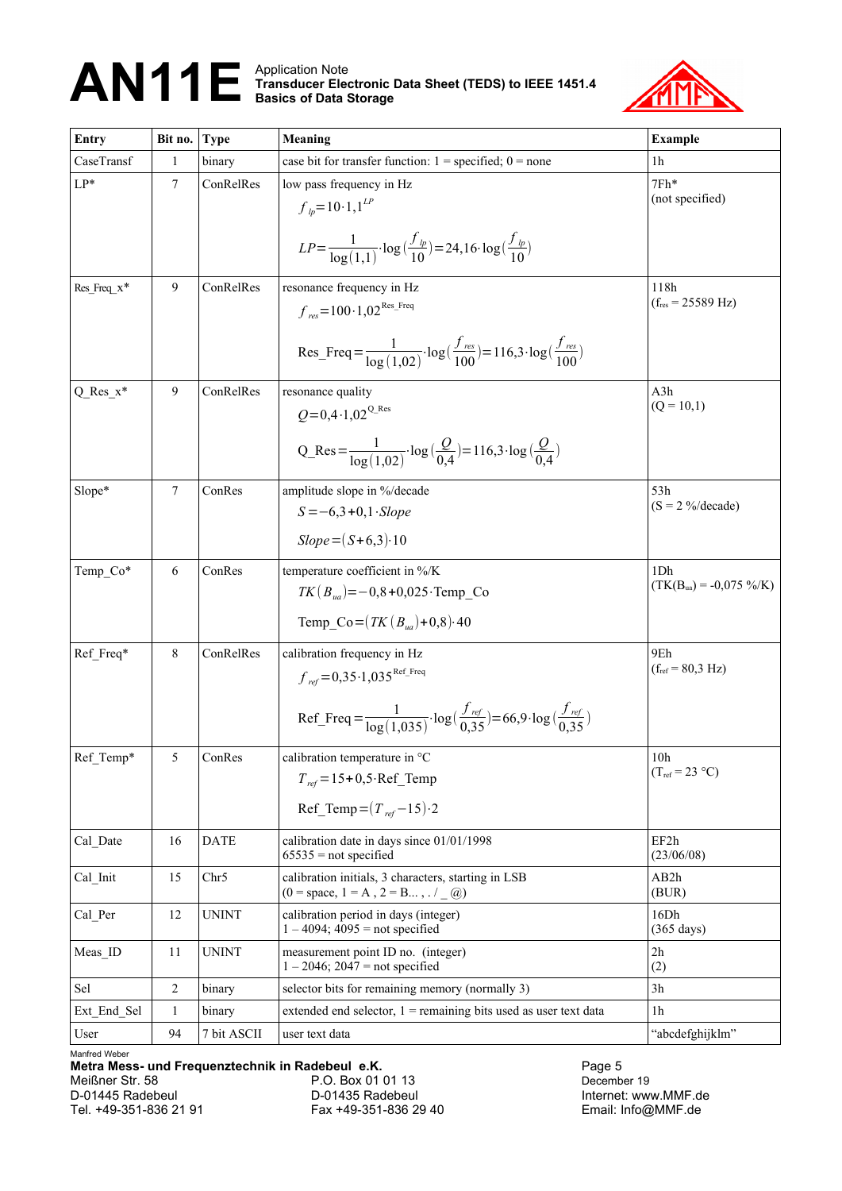

| Entry                                         | Bit no.      | <b>Type</b>      | Meaning                                                                                                                   | <b>Example</b>                     |  |  |  |  |
|-----------------------------------------------|--------------|------------------|---------------------------------------------------------------------------------------------------------------------------|------------------------------------|--|--|--|--|
| CaseTransf                                    | 1            | binary           | case bit for transfer function: $1 =$ specified; $0 =$ none                                                               | 1h                                 |  |  |  |  |
| $LP*$                                         | 7            | ConRelRes        | low pass frequency in Hz                                                                                                  | $7Fh*$                             |  |  |  |  |
|                                               |              |                  | $f_{l_p} = 10 \cdot 1, 1^{LP}$                                                                                            | (not specified)                    |  |  |  |  |
|                                               |              |                  | $LP = \frac{1}{\log(1\ 1)} \cdot \log\left(\frac{f_{lp}}{10}\right) = 24{,}16 \cdot \log\left(\frac{f_{lp}}{10}\right)$   |                                    |  |  |  |  |
|                                               |              |                  |                                                                                                                           |                                    |  |  |  |  |
| Res_Freq_x*                                   | 9            | ConRelRes        | resonance frequency in Hz                                                                                                 | 118h                               |  |  |  |  |
|                                               |              |                  | $f_{res} = 100 \cdot 1.02^{Res_{res}$ Freq                                                                                | $(f_{res} = 25589 \text{ Hz})$     |  |  |  |  |
|                                               |              |                  | Res_Freq = $\frac{1}{\log(1.02)} \cdot \log(\frac{J_{res}}{100}) = 116,3 \cdot \log(\frac{J_{res}}{100})$                 |                                    |  |  |  |  |
| $Q$ <sub>Res<sub><math>x^*</math></sub></sub> | 9            | ConRelRes        | resonance quality                                                                                                         | A3h                                |  |  |  |  |
|                                               |              |                  | $Q = 0.4 \cdot 1.02^{\text{Q}$ . Res                                                                                      | $(Q = 10,1)$                       |  |  |  |  |
|                                               |              |                  | $Q_{\text{Res}} = \frac{1}{\log(1.02)} \cdot \log\left(\frac{Q}{0.4}\right) = 116,3 \cdot \log\left(\frac{Q}{0.4}\right)$ |                                    |  |  |  |  |
| Slope*                                        | $\tau$       | ConRes           | amplitude slope in %/decade                                                                                               | 53h                                |  |  |  |  |
|                                               |              |                  | $S = -6,3 + 0,1$ . Slope                                                                                                  | $(S = 2\frac{9}{6} \text{decade})$ |  |  |  |  |
|                                               |              |                  | $Slope = (S+6,3) \cdot 10$                                                                                                |                                    |  |  |  |  |
| Temp Co*                                      | 6            | ConRes           | temperature coefficient in %/K                                                                                            | 1D <sub>h</sub>                    |  |  |  |  |
|                                               |              |                  | $TK(B_{ua}) = -0.8 + 0.025$ ·Temp Co                                                                                      | $(TK(B_{ua}) = -0.075 %$ /s/K)     |  |  |  |  |
|                                               |              |                  | Temp Co = $(TK(B_{na})+0.8)\cdot 40$                                                                                      |                                    |  |  |  |  |
| Ref Freq*                                     | 8            | ConRelRes        | calibration frequency in Hz                                                                                               | 9Eh                                |  |  |  |  |
|                                               |              |                  | $f_{ref} = 0.35 \cdot 1.035$ <sup>Ref_Freq</sup>                                                                          | $(f_{ref} = 80,3 \text{ Hz})$      |  |  |  |  |
|                                               |              |                  | Ref_Freq = $\frac{1}{\log(1.035)} \cdot \log(\frac{f_{ref}}{0.35}) = 66.9 \cdot \log(\frac{f_{ref}}{0.35})$               |                                    |  |  |  |  |
| Ref Temp*                                     | 5            | ConRes           | calibration temperature in °C                                                                                             | 10 <sub>h</sub>                    |  |  |  |  |
|                                               |              |                  | $T_{ref} = 15 + 0.5 \cdot \text{Ref\_Temp}$                                                                               | $(T_{ref} = 23 \text{ °C})$        |  |  |  |  |
|                                               |              |                  | Ref_Temp = $(T_{ref} - 15) \cdot 2$                                                                                       |                                    |  |  |  |  |
| Cal Date                                      | 16           | <b>DATE</b>      | calibration date in days since 01/01/1998<br>$65535$ = not specified                                                      | EF2h<br>(23/06/08)                 |  |  |  |  |
| Cal_Init                                      | 15           | Chr <sub>5</sub> | calibration initials, 3 characters, starting in LSB<br>$(0 = space, 1 = A, 2 = B , . / \_ (a))$                           | AB2h<br>(BUR)                      |  |  |  |  |
| Cal Per                                       | 12           | <b>UNINT</b>     | calibration period in days (integer)<br>$1 - 4094$ ; $4095 =$ not specified                                               | 16Dh<br>$(365 \text{ days})$       |  |  |  |  |
| Meas ID                                       | 11           | <b>UNINT</b>     | measurement point ID no. (integer)<br>$1 - 2046$ ; $2047 =$ not specified                                                 | 2h<br>(2)                          |  |  |  |  |
| Sel                                           | 2            | binary           | selector bits for remaining memory (normally 3)                                                                           | 3h                                 |  |  |  |  |
| Ext End Sel                                   | $\mathbf{1}$ | binary           | extended end selector, $1$ = remaining bits used as user text data                                                        | 1 <sub>h</sub>                     |  |  |  |  |
| User                                          | 94           | 7 bit ASCII      | user text data                                                                                                            | "abcdefghijklm"                    |  |  |  |  |

Manfred Weber

**Metra Mess- und Frequenztechnik in Radebeul e.K.**<br>Meißner Str. 58 **P.O. Box 01 01 13** P.O. Box 01 01 13 December 19 Meißner Str. 58 **P.O. Box 01 01 13**<br>D-01445 Radebeul **D-01435 Radebeul** D-01445 Radebeul D-01435 Radebeul Internet: www.MMF.de Fax +49-351-836 29 40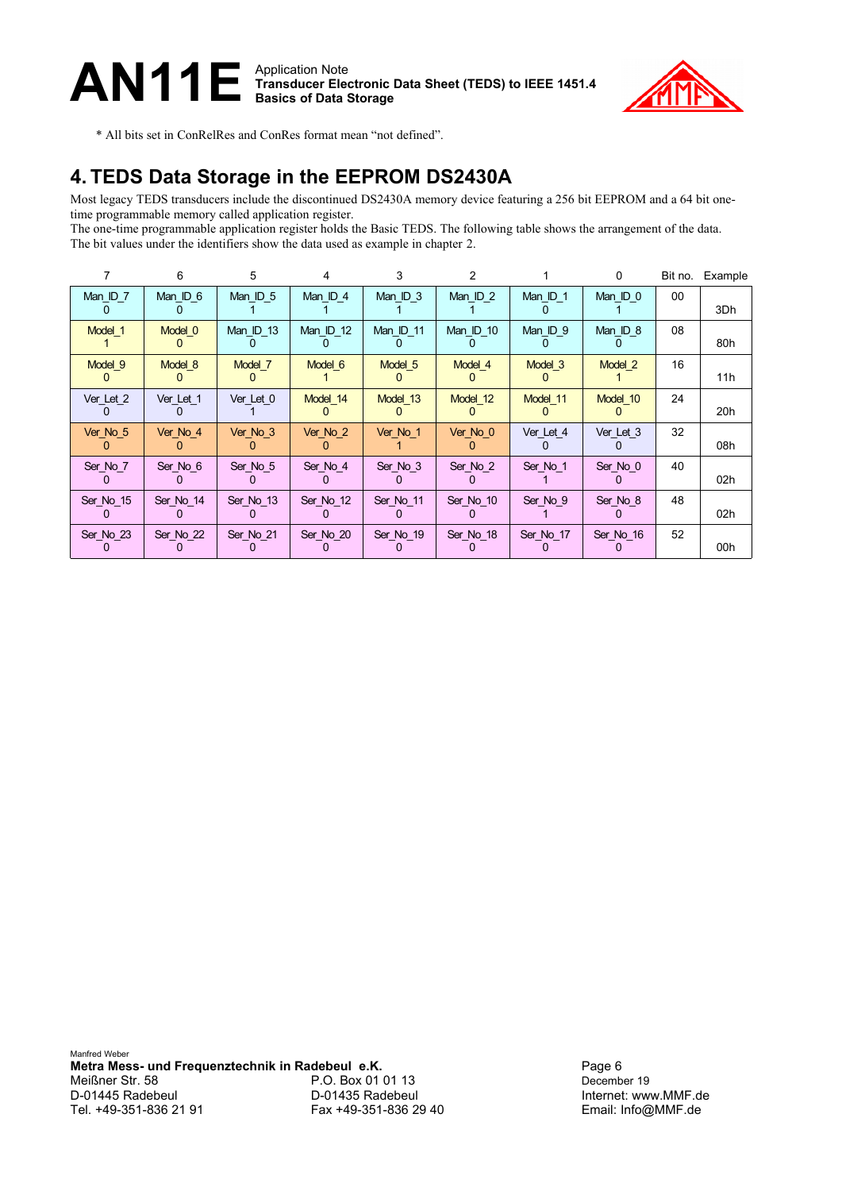

\* All bits set in ConRelRes and ConRes format mean "not defined".

## **4. TEDS Data Storage in the EEPROM DS2430A**

Most legacy TEDS transducers include the discontinued DS2430A memory device featuring a 256 bit EEPROM and a 64 bit onetime programmable memory called application register.

The one-time programmable application register holds the Basic TEDS. The following table shows the arrangement of the data. The bit values under the identifiers show the data used as example in chapter [2.](#page-0-1)

|           | 6         | 5         | 4         | 3          | $\mathcal{P}$ |            | $\Omega$  | Bit no. | Example |
|-----------|-----------|-----------|-----------|------------|---------------|------------|-----------|---------|---------|
| Man ID 7  | Man ID 6  | Man ID 5  | Man ID 4  | Man ID $3$ | Man ID $2$    | Man ID $1$ | Man ID 0  | 00      | 3Dh     |
| Model 1   | Model 0   | Man ID 13 | Man ID 12 | Man ID 11  | Man ID 10     | Man ID 9   | Man ID 8  | 08      | 80h     |
| Model 9   | Model 8   | Model 7   | Model 6   | Model 5    | Model 4       | Model 3    | Model 2   | 16      | 11h     |
| Ver_Let_2 | Ver Let 1 | Ver Let 0 | Model 14  | Model 13   | Model 12      | Model 11   | Model 10  | 24      | 20h     |
| Ver No 5  | Ver No 4  | Ver No 3  | Ver No 2  | Ver No 1   | Ver No 0      | Ver Let 4  | Ver Let 3 | 32      | 08h     |
| Ser_No_7  | Ser No 6  | Ser No 5  | Ser No 4  | Ser No 3   | Ser No 2      | Ser No 1   | Ser No 0  | 40      | 02h     |
| Ser No 15 | Ser No 14 | Ser No 13 | Ser No 12 | Ser No 11  | Ser No 10     | Ser No 9   | Ser No 8  | 48      | 02h     |
| Ser No 23 | Ser No 22 | Ser No 21 | Ser No 20 | Ser No 19  | Ser No 18     | Ser No 17  | Ser No 16 | 52      | 00h     |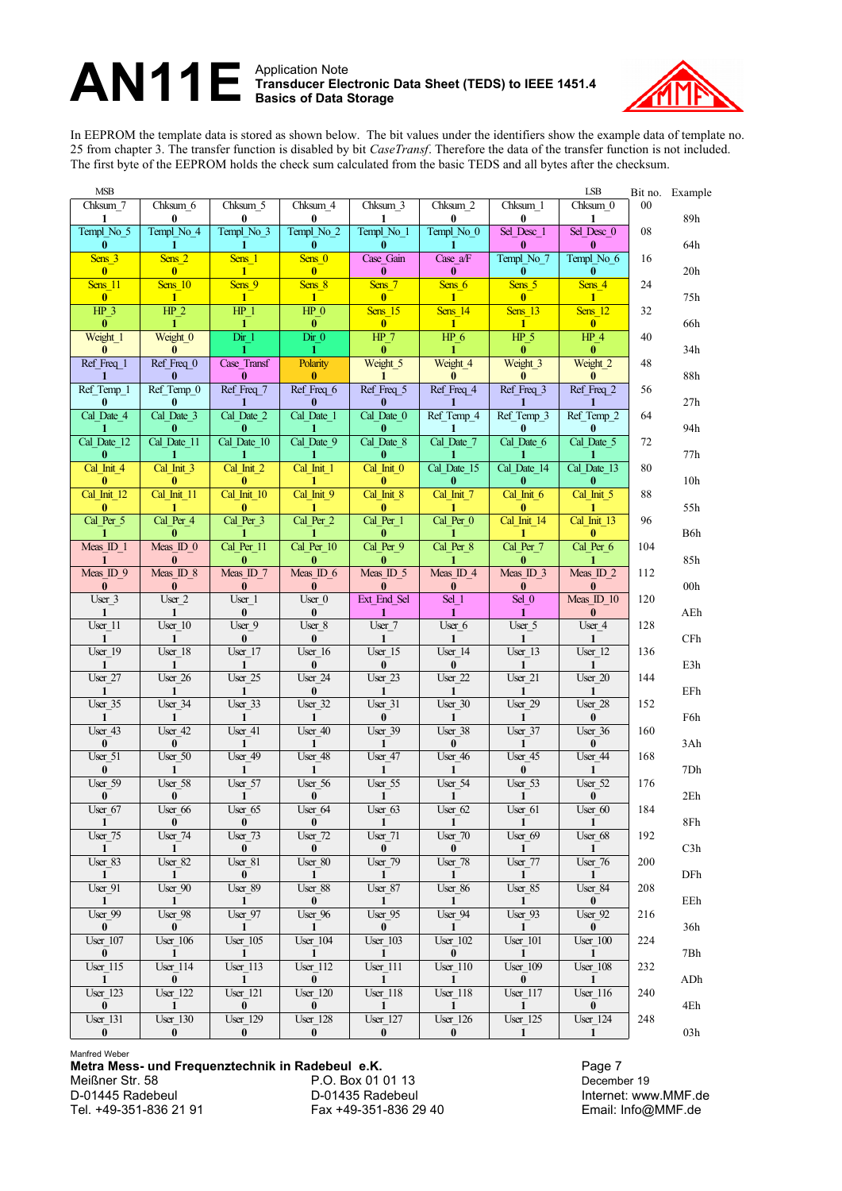

In EEPROM the template data is stored as shown below. The bit values under the identifiers show the example data of template no. 25 from chapter [3.](#page-1-0) The transfer function is disabled by bit *CaseTransf*. Therefore the data of the transfer function is not included. The first byte of the EEPROM holds the check sum calculated from the basic TEDS and all bytes after the checksum.

| <b>MSB</b>                        |                                              |                                       |                                   |                                    |                                 |                                   | LSB                               |     | Bit no. Example |
|-----------------------------------|----------------------------------------------|---------------------------------------|-----------------------------------|------------------------------------|---------------------------------|-----------------------------------|-----------------------------------|-----|-----------------|
| Chksum 7                          | Chksum 6                                     | Chksum 5                              | Chksum 4                          | Chksum 3                           | Chksum 2                        | Chksum 1                          | Chksum 0                          | 00  | 89h             |
| 1<br>Templ_No_5                   | 0<br>Templ No 4                              | 0<br>Templ No 3                       | 0<br>Templ No 2                   | Templ No 1                         | 0<br>Templ No 0                 | $\bf{0}$<br>Sel Desc 1            | 1<br>Sel Desc 0                   | 08  |                 |
| $\bf{0}$                          | 1                                            | 1                                     | $\bf{0}$                          | $\bf{0}$                           | 1                               | $\bf{0}$                          | 0                                 |     | 64h             |
| Sens 3<br>$\bf{0}$                | Sens <sub>2</sub><br>$\overline{\mathbf{0}}$ | Sens 1<br>$\mathbf{1}$                | Sens 0<br>$\overline{\mathbf{0}}$ | Case Gain<br>$\bf{0}$              | Case a/F<br>$\bf{0}$            | Templ No 7<br>$\bf{0}$            | Templ No 6<br>$\bf{0}$            | 16  | 20h             |
| Sens 11                           | Sens 10                                      | Sens <sub>9</sub>                     | Sens 8                            | Sens <sub>7</sub>                  | Sens 6                          | Sens 5                            | Sens 4                            | 24  |                 |
| $\mathbf{0}$<br>$HP_3$            | $\mathbf{1}$<br>HP <sub>2</sub>              | 1<br>$HP_1$                           | $\mathbf{1}$<br>$HP$ <sub>0</sub> | $\overline{\mathbf{0}}$<br>Sens 15 | $\blacksquare$<br>Sens 14       | $\bf{0}$<br>Sens 13               | $\mathbf{1}$<br>Sens 12           | 32  | 75h             |
| $\bf{0}$                          | 1                                            | $\mathbf{1}$                          | $\bf{0}$                          | $\bf{0}$                           | $\mathbf{1}$                    | $\mathbf{1}$                      | $\bf{0}$                          |     | 66h             |
| Weight 1                          | Weight <sub>0</sub>                          | Dir 1                                 | Dir 0                             | HP <sub>7</sub>                    | $HP_6$                          | $HP_5$                            | $HP_4$                            | 40  |                 |
| $\bf{0}$<br>Ref Freq 1            | $\bf{0}$<br>Ref Freq 0                       | 1<br>Case Transf                      | $\mathbf{1}$<br>Polarity          | $\bf{0}$<br>Weight <sub>_5</sub>   | 1.<br>Weight <sub>4</sub>       | $\bf{0}$<br>Weight <sub>3</sub>   | $\bf{0}$<br>Weight <sub>2</sub>   | 48  | 34h             |
| 1                                 | $\mathbf{0}$                                 | $\bf{0}$                              | $\bf{0}$                          | 1                                  | 0                               | $\bf{0}$                          | $\bf{0}$                          |     | $88\mathrm{h}$  |
| Ref Temp_1<br>$\bf{0}$            | Ref Temp 0<br>$\mathbf{0}$                   | Ref Freq 7<br>1                       | Ref Freq 6<br>$\bf{0}$            | Ref Freq 5<br>$\bf{0}$             | Ref Freq 4                      | Ref Freq 3                        | Ref Freq 2                        | 56  | 27h             |
| Cal Date 4                        | Cal Date 3                                   | Cal Date 2                            | Cal Date 1                        | Cal Date 0                         | Ref Temp 4                      | Ref Temp 3                        | Ref Temp 2                        | 64  |                 |
| 1                                 | $\bf{0}$                                     | $\bf{0}$                              | 1                                 | $\bf{0}$                           | 1                               | $\bf{0}$                          | $\bf{0}$                          |     | 94h             |
| Cal Date 12<br>$\bf{0}$           | Cal Date 11<br>-1                            | Cal Date 10<br>1                      | Cal Date 9<br>ı                   | Cal Date 8<br>0                    | Cal Date 7<br>1                 | Cal Date 6                        | Cal Date 5                        | 72  | 77h             |
| Cal Init 4                        | Cal Init 3                                   | Cal Init 2                            | Cal Init 1                        | Cal Init 0                         | Cal Date 15                     | Cal Date 14                       | Cal Date 13                       | 80  |                 |
| $\mathbf{0}$<br>Cal Init 12       | $\mathbf{0}$<br>Cal Init 11                  | $\bf{0}$<br>Cal Init 10               | 1<br>Cal Init 9                   | $\bf{0}$<br>Cal Init 8             | $\bf{0}$<br>Cal Init 7          | $\bf{0}$<br>Cal Init 6            | $\bf{0}$<br>Cal Init 5            | 88  | 10 <sub>h</sub> |
| $\bf{0}$                          | 1                                            | $\bf{0}$                              | 1                                 | $\bf{0}$                           | 1                               | $\bf{0}$                          | 1                                 |     | 55h             |
| Cal Per 5<br>1                    | Cal Per 4<br>$\bf{0}$                        | Cal Per 3<br>1                        | Cal Per 2                         | Cal Per 1<br>$\bf{0}$              | Cal Per 0<br>1                  | Cal Init 14<br>1                  | Cal Init 13<br>$\bf{0}$           | 96  | B6h             |
| Meas $ID$ 1                       | Meas $ID$ $0$                                | Cal Per_11                            | Cal Per 10                        | Cal Per 9                          | Cal Per 8                       | Cal Per 7                         | Cal Per 6                         | 104 |                 |
| $\mathbf{1}$                      | $\mathbf{0}$                                 | $\bf{0}$                              | $\bf{0}$                          | $\bf{0}$                           | 1                               | $\mathbf{0}$                      | 1                                 |     | 85h             |
| Meas ID 9<br>$\bf{0}$             | Meas ID 8<br>$\bf{0}$                        | Meas ID 7<br>$\bf{0}$                 | Meas ID $6$<br>$\bf{0}$           | Meas ID 5<br>$\bf{0}$              | Meas ID 4<br>$\bf{0}$           | Meas ID 3<br>$\bf{0}$             | Meas ID <sub>2</sub><br>$\bf{0}$  | 112 | 00 <sub>h</sub> |
| $User_3$                          | User 2                                       | $\overline{\text{User}}$ <sup>1</sup> | User 0                            | Ext End Sel                        | $\overline{\text{Sel} \_1}$     | Sel $0$                           | Meas <sub>ID</sub> 10             | 120 |                 |
| 1                                 | 1<br>User 10                                 | $\bf{0}$<br>User 9                    | $\bf{0}$<br>User 8                | 1<br>User 7                        | 1                               | 1                                 | $\bf{0}$<br>User 4                | 128 | AEh             |
| User 11<br>$\mathbf{1}$           | $\mathbf{1}$                                 | $\bf{0}$                              | $\bf{0}$                          | 1                                  | User_6<br>$\mathbf{1}$          | $User_5$<br>$\mathbf{1}$          | $\mathbf{1}$                      |     | CFh             |
| User 19                           | User 18                                      | User 17                               | User 16                           | User $15$                          | User 14                         | User 13                           | User 12                           | 136 |                 |
| $\mathbf{1}$<br>User 27           | $\mathbf{1}$<br>User 26                      | $\mathbf{1}$<br>User 25               | $\bf{0}$<br>User 24               | $\bf{0}$<br>User $23$              | $\bf{0}$<br>User 22             | $\mathbf{1}$<br>User 21           | $\mathbf{1}$<br>User 20           | 144 | E3h             |
| 1                                 | $\mathbf{1}$                                 | 1                                     | $\bf{0}$                          | 1                                  | $\mathbf{1}$                    | $\mathbf{1}$                      | $\mathbf{1}$                      |     | EFh             |
| $\overline{U}$ ser_35<br>1        | User_34<br>1                                 | $User_33$<br>1                        | $User_32$<br>1                    | $User_31$<br>0                     | $User_30$<br>1                  | User_29<br>1                      | User_28<br>$\bf{0}$               | 152 | F6h             |
| User 43                           | User 42                                      | User 41                               | User 40                           | User 39                            | User 38                         | User 37                           | User 36                           | 160 |                 |
| $\bf{0}$                          | $\bf{0}$                                     | 1                                     | 1                                 | 1                                  | $\bf{0}$                        | 1                                 | $\bf{0}$                          |     | 3Ah             |
| $User_51$<br>$\bf{0}$             | User 50<br>1                                 | User 49<br>1                          | User 48<br>1                      | User 47<br>1                       | User $46$<br>1                  | User $45$<br>$\bf{0}$             | User 44<br>1                      | 168 | 7Dh             |
| User_59                           | User_58                                      | $User_57$                             | $User_56$                         | User_55                            | User 54                         | User_53                           | User_52                           | 176 |                 |
| $\bf{0}$<br>User 67               | $\mathbf{0}$<br>User 66                      | 1<br>User 65                          | $\bf{0}$<br>User 64               | 1<br>User 63                       | 1<br>User 62                    | 1<br>User 61                      | $\bf{0}$<br>User 60               | 184 | 2Eh             |
| $\mathbf{1}$                      | $\mathbf{0}$                                 | $\mathbf{0}$                          | $\mathbf{0}$                      | $\mathbf{1}$                       | $\mathbf{1}$                    | $\mathbf{1}$                      |                                   |     | $8Fh$           |
| User 75<br>$\mathbf{1}$           | User 74<br>$\mathbf{1}$                      | User $73$<br>$\mathbf{0}$             | $User_72$<br>$\mathbf{0}$         | User 71<br>$\mathbf{0}$            | $User_70$<br>$\mathbf{0}$       | User $69$<br>$\mathbf{1}$         | User 68<br><sup>1</sup>           | 192 | C3h             |
| User_83                           | User 82                                      | User 81                               | User 80                           | User 79                            | User 78                         | <b>User_77</b>                    | User 76                           | 200 |                 |
| $\blacksquare$                    | 1                                            | $\bf{0}$                              | $\mathbf{1}$                      | <sup>1</sup>                       | $\mathbf{1}$                    | 1                                 | -1                                |     | DFh             |
| $User_91$<br>$\mathbf{1}$         | User 90<br>$\mathbf{1}$                      | User 89<br>$\mathbf{1}$               | User 88<br>$\bf{0}$               | $User_87$<br>$\mathbf{1}$          | User_86<br>$\blacksquare$       | User_85<br>$\blacksquare$         | User_84<br>$\mathbf{0}$           | 208 | EEh             |
| User 99                           | User 98                                      | User 97                               | User 96                           | $User_95$                          | User 94                         | User 93                           | User 92                           | 216 |                 |
| $\mathbf{0}$<br>$User_107$        | $\mathbf{0}$<br><b>User 106</b>              | $\mathbf{1}$<br><b>User 105</b>       | $\mathbf{1}$<br><b>User 104</b>   | $\mathbf{0}$<br><b>User 103</b>    | $\blacksquare$<br>$User_102$    | $\blacksquare$<br>$User_101$      | $\bf{0}$<br><b>User 100</b>       | 224 | 36h             |
| $\mathbf{0}$                      | $\mathbf{1}$                                 | $\mathbf{1}$                          | 1                                 | <sup>1</sup>                       | $\mathbf{0}$                    | $\mathbf{1}$                      | $\mathbf{1}$                      |     | 7Bh             |
| $User_115$                        | <b>User 114</b>                              | <b>User 113</b>                       | <b>User 112</b>                   | <b>User 111</b>                    | <b>User 110</b>                 | <b>User 109</b>                   | $User_108$                        | 232 |                 |
| $\blacksquare$<br><b>User_123</b> | $\bf{0}$<br><b>User 122</b>                  | $\mathbf{1}$<br><b>User 121</b>       | $\mathbf{0}$<br><b>User 120</b>   | <sup>1</sup><br><b>User 118</b>    | $\boxed{1}$<br><b>User 118</b>  | $\mathbf{0}$<br><b>User 117</b>   | $\blacksquare$<br><b>User 116</b> | 240 | ADh             |
| $\bf{0}$                          | -1                                           | $\mathbf{0}$                          | $\mathbf{0}$                      | -1                                 | $\mathbf{1}$                    | $\blacksquare$                    | $\mathbf{0}$                      |     | 4Eh             |
| User_131<br>$\bf{0}$              | $User_130$<br>$\mathbf{0}$                   | $User_129$<br>$\bf{0}$                | $User_128$<br>$\bf{0}$            | $User_127$<br>$\bf{0}$             | <b>User 126</b><br>$\mathbf{0}$ | <b>User_125</b><br>$\blacksquare$ | User_124<br>$\blacksquare$        | 248 | 03h             |
|                                   |                                              |                                       |                                   |                                    |                                 |                                   |                                   |     |                 |

Manfred Weber

**Metra Mess- und Frequenztechnik in Radebeul e.K.**<br>Meißner Str. 58 **Page 7** P.O. Box 01 01 13 P.O. Box 01 01 13 P.O. Box 01 01 13 December 19<br>
D-01435 Radebeul Marshall Internet: ww D-01445 Radebeul D-01435 Radebeul Internet: www.MMF.de

Fax +49-351-836 29 40 Email: Info@MMF.de